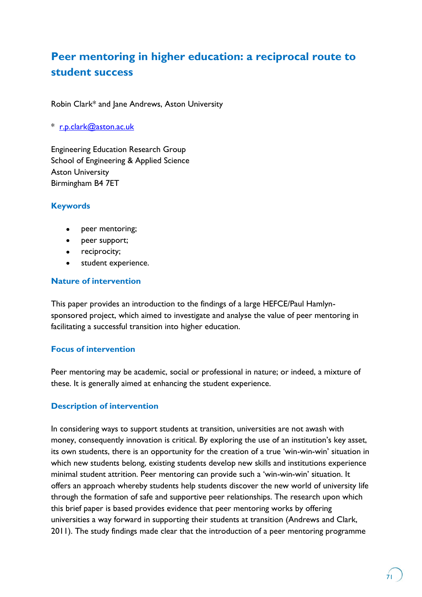# **Peer mentoring in higher education: a reciprocal route to student success**

Robin Clark\* and Jane Andrews, Aston University

\* [r.p.clark@aston.ac.uk](mailto:r.p.clark@aston.ac.uk)

Engineering Education Research Group School of Engineering & Applied Science Aston University Birmingham B4 7ET

#### **Keywords**

- $\bullet$ peer mentoring;
- peer support;
- reciprocity;
- student experience.

#### **Nature of intervention**

This paper provides an introduction to the findings of a large HEFCE/Paul Hamlynsponsored project, which aimed to investigate and analyse the value of peer mentoring in facilitating a successful transition into higher education.

#### **Focus of intervention**

Peer mentoring may be academic, social or professional in nature; or indeed, a mixture of these. It is generally aimed at enhancing the student experience.

#### **Description of intervention**

In considering ways to support students at transition, universities are not awash with money, consequently innovation is critical. By exploring the use of an institution's key asset, its own students, there is an opportunity for the creation of a true "win-win-win" situation in which new students belong, existing students develop new skills and institutions experience minimal student attrition. Peer mentoring can provide such a "win-win-win" situation. It offers an approach whereby students help students discover the new world of university life through the formation of safe and supportive peer relationships. The research upon which this brief paper is based provides evidence that peer mentoring works by offering universities a way forward in supporting their students at transition (Andrews and Clark, 2011). The study findings made clear that the introduction of a peer mentoring programme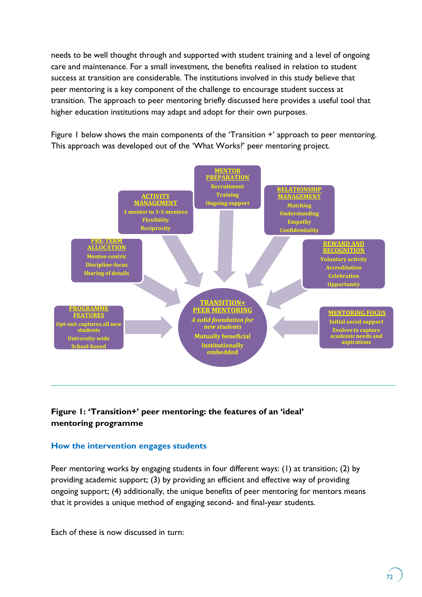needs to be well thought through and supported with student training and a level of ongoing care and maintenance. For a small investment, the benefits realised in relation to student success at transition are considerable. The institutions involved in this study believe that peer mentoring is a key component of the challenge to encourage student success at transition. The approach to peer mentoring briefly discussed here provides a useful tool that higher education institutions may adapt and adopt for their own purposes.

Figure 1 below shows the main components of the 'Transition +' approach to peer mentoring. This approach was developed out of the "What Works?" peer mentoring project.



## **Figure 1: 'Transition+' peer mentoring: the features of an 'ideal' mentoring programme**

#### **How the intervention engages students**

Peer mentoring works by engaging students in four different ways: (1) at transition; (2) by providing academic support; (3) by providing an efficient and effective way of providing ongoing support; (4) additionally, the unique benefits of peer mentoring for mentors means that it provides a unique method of engaging second- and final-year students.

Each of these is now discussed in turn: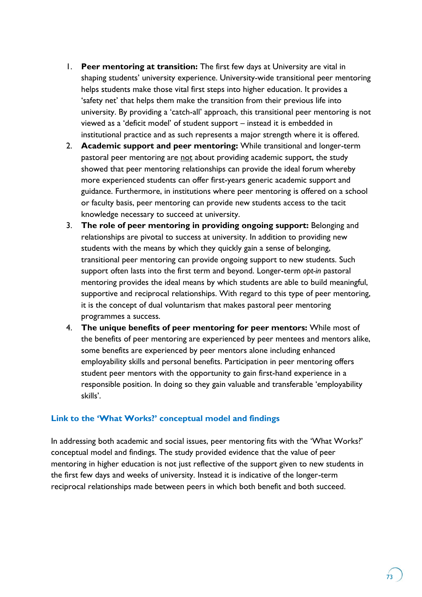- 1. **Peer mentoring at transition:** The first few days at University are vital in shaping students' university experience. University-wide transitional peer mentoring helps students make those vital first steps into higher education. It provides a 'safety net' that helps them make the transition from their previous life into university. By providing a "catch-all" approach, this transitional peer mentoring is not viewed as a "deficit model" of student support – instead it is embedded in institutional practice and as such represents a major strength where it is offered.
- 2. **Academic support and peer mentoring:** While transitional and longer-term pastoral peer mentoring are not about providing academic support, the study showed that peer mentoring relationships can provide the ideal forum whereby more experienced students can offer first-years generic academic support and guidance. Furthermore, in institutions where peer mentoring is offered on a school or faculty basis, peer mentoring can provide new students access to the tacit knowledge necessary to succeed at university.
- 3. **The role of peer mentoring in providing ongoing support:** Belonging and relationships are pivotal to success at university. In addition to providing new students with the means by which they quickly gain a sense of belonging, transitional peer mentoring can provide ongoing support to new students. Such support often lasts into the first term and beyond. Longer-term *opt-in* pastoral mentoring provides the ideal means by which students are able to build meaningful, supportive and reciprocal relationships. With regard to this type of peer mentoring, it is the concept of dual voluntarism that makes pastoral peer mentoring programmes a success.
- 4. **The unique benefits of peer mentoring for peer mentors:** While most of the benefits of peer mentoring are experienced by peer mentees and mentors alike, some benefits are experienced by peer mentors alone including enhanced employability skills and personal benefits. Participation in peer mentoring offers student peer mentors with the opportunity to gain first-hand experience in a responsible position. In doing so they gain valuable and transferable "employability skills'.

#### **Link to the 'What Works?' conceptual model and findings**

In addressing both academic and social issues, peer mentoring fits with the "What Works?" conceptual model and findings. The study provided evidence that the value of peer mentoring in higher education is not just reflective of the support given to new students in the first few days and weeks of university. Instead it is indicative of the longer-term reciprocal relationships made between peers in which both benefit and both succeed.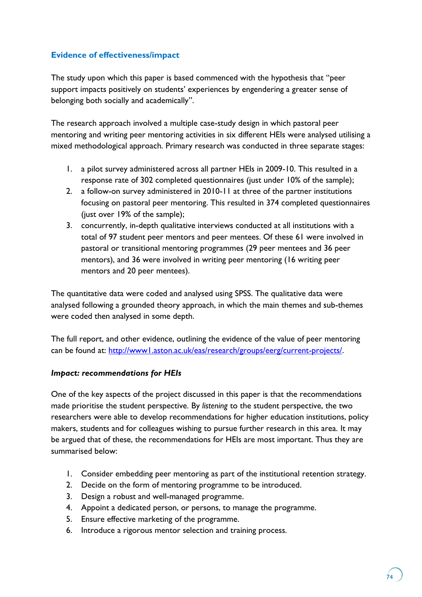## **Evidence of effectiveness/impact**

The study upon which this paper is based commenced with the hypothesis that "peer support impacts positively on students' experiences by engendering a greater sense of belonging both socially and academically".

The research approach involved a multiple case-study design in which pastoral peer mentoring and writing peer mentoring activities in six different HEIs were analysed utilising a mixed methodological approach. Primary research was conducted in three separate stages:

- 1. a pilot survey administered across all partner HEIs in 2009-10. This resulted in a response rate of 302 completed questionnaires (just under 10% of the sample);
- 2. a follow-on survey administered in 2010-11 at three of the partner institutions focusing on pastoral peer mentoring. This resulted in 374 completed questionnaires (just over 19% of the sample);
- 3. concurrently, in-depth qualitative interviews conducted at all institutions with a total of 97 student peer mentors and peer mentees. Of these 61 were involved in pastoral or transitional mentoring programmes (29 peer mentees and 36 peer mentors), and 36 were involved in writing peer mentoring (16 writing peer mentors and 20 peer mentees).

The quantitative data were coded and analysed using SPSS. The qualitative data were analysed following a grounded theory approach, in which the main themes and sub-themes were coded then analysed in some depth.

The full report, and other evidence, outlining the evidence of the value of peer mentoring can be found at: [http://www1.aston.ac.uk/eas/research/groups/eerg/current-projects/.](http://www1.aston.ac.uk/eas/research/groups/eerg/current-projects/)

#### *Impact: recommendations for HEIs*

One of the key aspects of the project discussed in this paper is that the recommendations made prioritise the student perspective. By *listening* to the student perspective, the two researchers were able to develop recommendations for higher education institutions, policy makers, students and for colleagues wishing to pursue further research in this area. It may be argued that of these, the recommendations for HEIs are most important. Thus they are summarised below:

- 1. Consider embedding peer mentoring as part of the institutional retention strategy.
- 2. Decide on the form of mentoring programme to be introduced.
- 3. Design a robust and well-managed programme.
- 4. Appoint a dedicated person, or persons, to manage the programme.
- 5. Ensure effective marketing of the programme.
- 6. Introduce a rigorous mentor selection and training process.